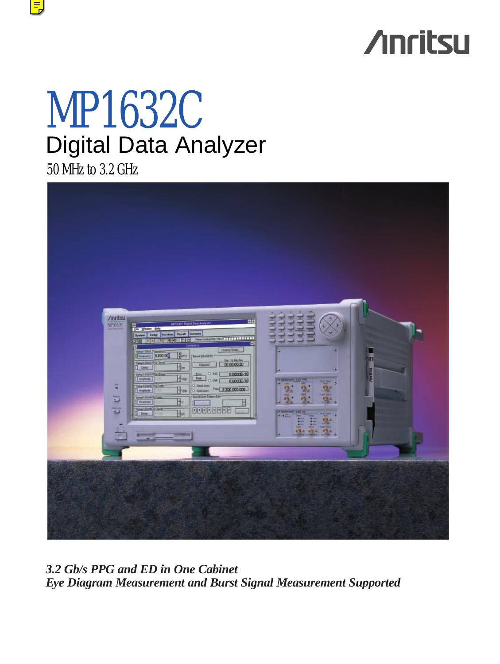# **Anritsu**

# MP1632C Digital Data Analyzer

50 MHz to 3.2 GHz



*3.2 Gb/s PPG and ED in One Cabinet Eye Diagram Measurement and Burst Signal Measurement Supported*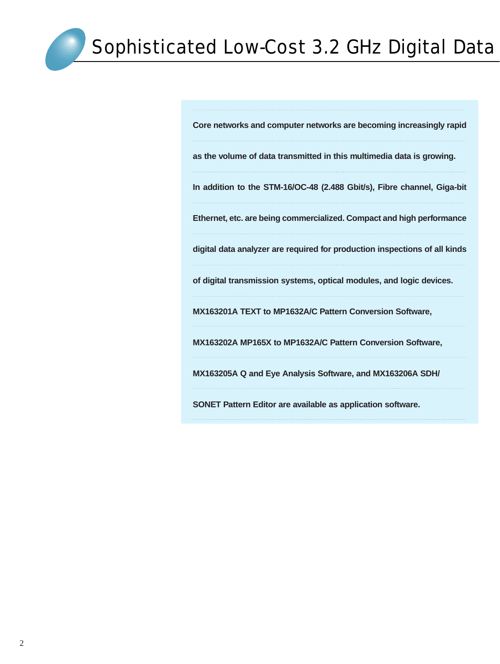**Core networks and computer networks are becoming increasingly rapid**

**as the volume of data transmitted in this multimedia data is growing.** 

**In addition to the STM-16/OC-48 (2.488 Gbit/s), Fibre channel, Giga-bit**

**Ethernet, etc. are being commercialized. Compact and high performance**

**digital data analyzer are required for production inspections of all kinds**

**of digital transmission systems, optical modules, and logic devices.** 

**MX163201A TEXT to MP1632A/C Pattern Conversion Software,** 

**MX163202A MP165X to MP1632A/C Pattern Conversion Software,**

**MX163205A Q and Eye Analysis Software, and MX163206A SDH/**

**SONET Pattern Editor are available as application software.**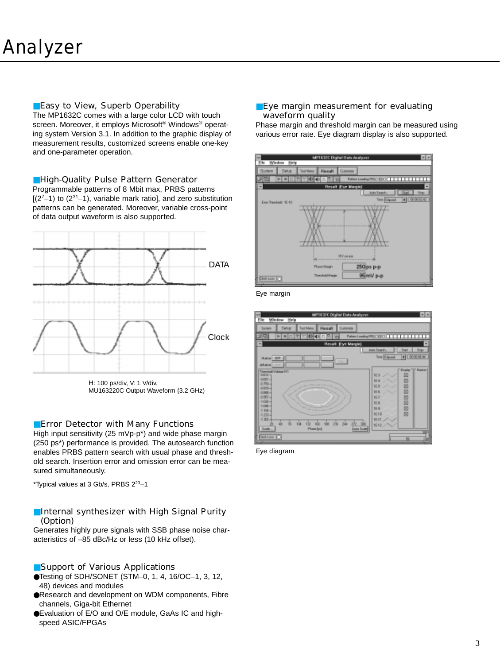# ■Easy to View, Superb Operability

The MP1632C comes with a large color LCD with touch screen. Moreover, it employs Microsoft® Windows® operating system Version 3.1. In addition to the graphic display of measurement results, customized screens enable one-key and one-parameter operation.

# ■High-Quality Pulse Pattern Generator

Programmable patterns of 8 Mbit max, PRBS patterns  $[(2<sup>7</sup>-1)$  to  $(2<sup>31</sup>-1)$ , variable mark ratio], and zero substitution patterns can be generated. Moreover, variable cross-point of data output waveform is also supported.



H: 100 ps/div, V: 1 V/div. MU163220C Output Waveform (3.2 GHz)

# ■Error Detector with Many Functions

High input sensitivity (25 mVp-p\*) and wide phase margin (250 ps\*) performance is provided. The autosearch function enables PRBS pattern search with usual phase and threshold search. Insertion error and omission error can be measured simultaneously.

\*Typical values at 3 Gb/s, PRBS 223–1

# ■Internal synthesizer with High Signal Purity (Option)

Generates highly pure signals with SSB phase noise characteristics of –85 dBc/Hz or less (10 kHz offset).

# ■Support of Various Applications

- ●Testing of SDH/SONET (STM–0, 1, 4, 16/OC–1, 3, 12, 48) devices and modules
- ●Research and development on WDM components, Fibre channels, Giga-bit Ethernet
- ●Evaluation of E/O and O/E module, GaAs IC and highspeed ASIC/FPGAs

#### ■ Eye margin measurement for evaluating waveform quality

Phase margin and threshold margin can be measured using various error rate. Eye diagram display is also supported.



Eye margin



Eye diagram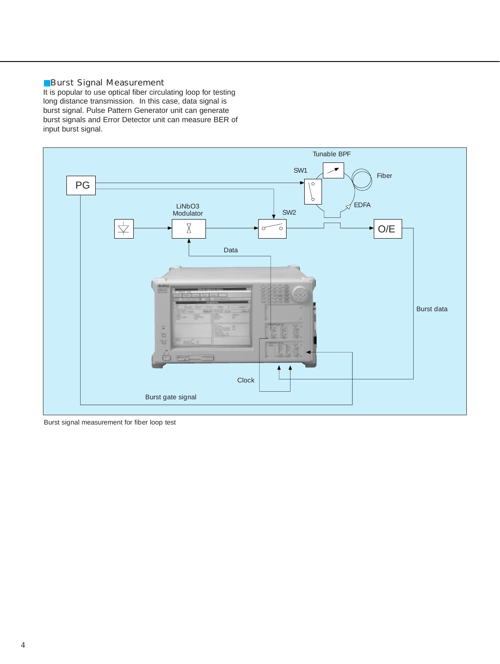# ■Burst Signal Measurement

It is popular to use optical fiber circulating loop for testing long distance transmission. In this case, data signal is burst signal. Pulse Pattern Generator unit can generate burst signals and Error Detector unit can measure BER of input burst signal.



Burst signal measurement for fiber loop test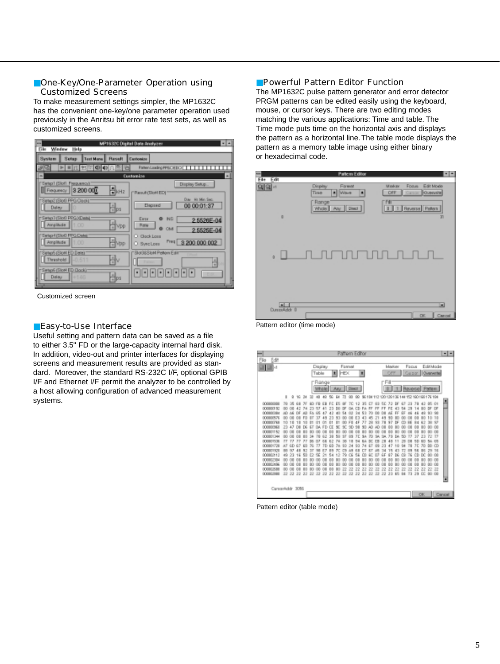# ■One-Key/One-Parameter Operation using Customized Screens

To make measurement settings simpler, the MP1632C has the convenient one-key/one parameter operation used previously in the Anritsu bit error rate test sets, as well as customized screens.



Customized screen

#### ■Easy-to-Use Interface

Useful setting and pattern data can be saved as a file to either 3.5" FD or the large-capacity internal hard disk. In addition, video-out and printer interfaces for displaying screens and measurement results are provided as standard. Moreover, the standard RS-232C I/F, optional GPIB I/F and Ethernet I/F permit the analyzer to be controlled by a host allowing configuration of advanced measurement systems.

### ■ Powerful Pattern Editor Function

The MP1632C pulse pattern generator and error detector PRGM patterns can be edited easily using the keyboard, mouse, or cursor keys. There are two editing modes matching the various applications: Time and table. The Time mode puts time on the horizontal axis and displays the pattern as a horizontal line.The table mode displays the pattern as a memory table image using either binary or hexadecimal code.

|                                      | <b>Pattern Editor</b>                                                                 |                                                                                                            |             |
|--------------------------------------|---------------------------------------------------------------------------------------|------------------------------------------------------------------------------------------------------------|-------------|
| File Edit                            |                                                                                       |                                                                                                            |             |
| 의의선<br>D                             | Display<br>Forward<br><b>Tines</b><br><b>A</b> Wave<br>۰<br>Range<br>Whole Any Direct | Edit Mode<br>Foous<br><b>Mitskips</b><br>Overvice<br>DFF<br><b>Carson</b><br>m<br>1   1   Reverse   Paters | m           |
| a                                    |                                                                                       |                                                                                                            |             |
| E<br>Dunpskob 0<br>$\cdots$ $\cdots$ | $\sim$                                                                                | OK.                                                                                                        | ▣<br>Cancel |

Pattern editor (time mode)

| EditMode<br>Format<br>Focus<br>Marker<br>Display<br>調整す<br>OPF<br>Capz<br>Table<br><b>HEX</b><br><b>Duranezho</b><br>刺<br>٠<br>Range<br>'nА<br>Dieson<br>Raverle!<br>Whole Any<br><b>Partent</b><br>10 34<br>40<br>Ed<br>04 112 120 139 136<br>144 152 160 160 176 194<br>$1-2$<br>33<br>40<br>쁴<br>00080008<br>72<br>42<br>05 O1<br>79<br>13<br>35<br>50<br>BF<br>63<br>000000192<br>42<br>7.8<br><b>DF</b><br>Z3<br>23<br>FA<br>4<br>œ<br>۰<br>ε<br>54<br>œ<br>÷<br>m<br>04<br>а<br>9.<br>000800984<br>DF<br>53<br>w<br>24<br>46<br>đ<br>Fő<br>42<br>ĉ<br>54<br>DЕ<br>v<br>$^{00}$<br>đ<br>œ<br>000000576<br>10<br>10<br>٠<br>3<br><b>DOMINOVAN</b><br>đ<br>97<br>93<br>10<br>78<br>18<br>tэ<br>000800948<br>23<br>÷<br>۰<br>DOMESTI 52<br>000001244<br>73<br>33<br>GO.<br>39<br>ЭE<br>5A<br>32<br>77<br>80<br>72<br>OB<br>50<br>SΠ<br>ľА<br>$^{12}$<br>34<br>94<br>73<br>病<br><b>DOM:153</b><br>000001728<br>CD<br>АT<br>GD.<br>93<br>ЭĽ<br>30 <sub>1</sub><br>0D.<br>w<br>24<br>mont1551<br>16<br>000002112<br>49<br>06<br>000002304<br>œ<br>000002406<br>OB<br>000003588<br>22<br>22<br>22<br>22<br>z<br>22<br>ZP.<br>22<br>22<br>22<br>22<br>Z2<br>22<br>22<br>22 23 33 32<br>32<br>22<br>22<br>23<br>94<br>T3<br>29<br>00 00<br>22<br>22<br>22<br>22 23<br>32<br>22<br>22<br>EG.<br>匠<br>22<br>000002098 |            | Pattern Editor | -- |
|-----------------------------------------------------------------------------------------------------------------------------------------------------------------------------------------------------------------------------------------------------------------------------------------------------------------------------------------------------------------------------------------------------------------------------------------------------------------------------------------------------------------------------------------------------------------------------------------------------------------------------------------------------------------------------------------------------------------------------------------------------------------------------------------------------------------------------------------------------------------------------------------------------------------------------------------------------------------------------------------------------------------------------------------------------------------------------------------------------------------------------------------------------------------------------------------------------------------------------------------------------------------------------------------------------------------|------------|----------------|----|
|                                                                                                                                                                                                                                                                                                                                                                                                                                                                                                                                                                                                                                                                                                                                                                                                                                                                                                                                                                                                                                                                                                                                                                                                                                                                                                                 | Edit<br>W. |                |    |
|                                                                                                                                                                                                                                                                                                                                                                                                                                                                                                                                                                                                                                                                                                                                                                                                                                                                                                                                                                                                                                                                                                                                                                                                                                                                                                                 |            |                |    |
|                                                                                                                                                                                                                                                                                                                                                                                                                                                                                                                                                                                                                                                                                                                                                                                                                                                                                                                                                                                                                                                                                                                                                                                                                                                                                                                 |            |                | Е  |

Pattern editor (table mode)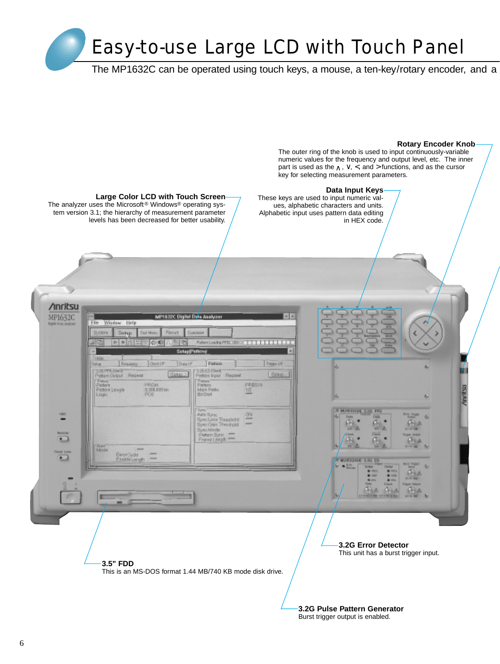# Easy-to-use Large LCD with Touch Panel

The MP1632C can be operated using touch keys, a mouse, a ten-key/rotary encoder, and a

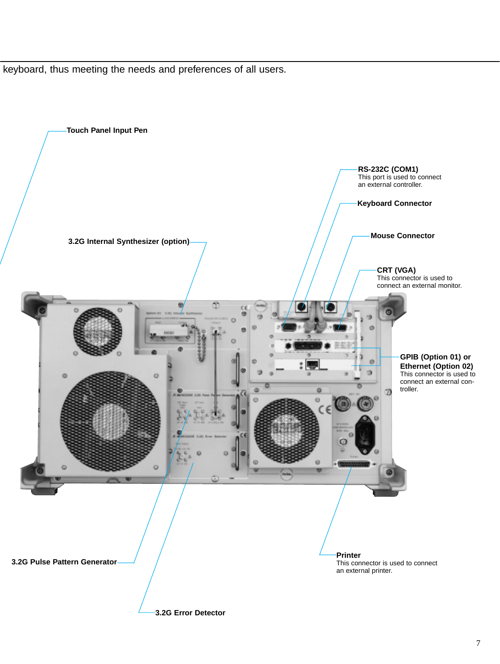keyboard, thus meeting the needs and preferences of all users.



7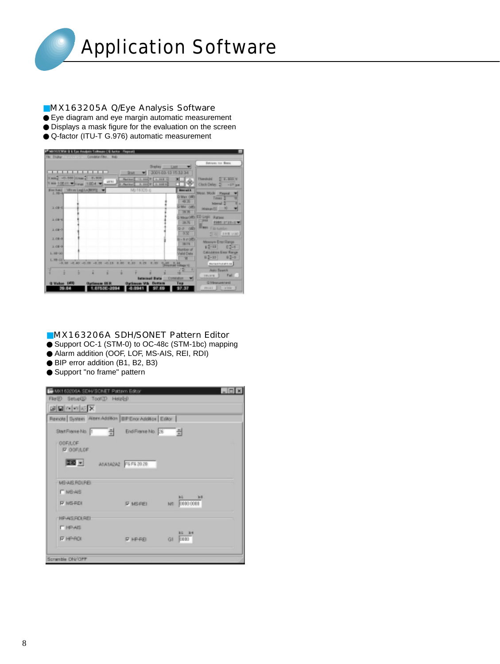

### ■MX163205A Q/Eye Analysis Software

- Eye diagram and eye margin automatic measurement
- Displays a mask figure for the evaluation on the screen
- Q-factor (ITU-T G.976) automatic measurement

| 27 Mil I COVAL & A Eps Analysis Soltman ( & Autor: Flopout) |                                                          |                                             |                            |
|-------------------------------------------------------------|----------------------------------------------------------|---------------------------------------------|----------------------------|
| F&I Dicker<br><b>Constract Film</b>                         | mar.                                                     |                                             |                            |
|                                                             |                                                          |                                             | Integrate the Brand        |
|                                                             | Drayley Last                                             |                                             |                            |
|                                                             | 2001-03-13 15:32:34<br>St bit                            |                                             |                            |
| Хиа. - 0.000 Хиа.   0.900                                   | $-0.0000$ F $-1.0011$ - K<br><b><i>Plan kind</i></b>     | 医日                                          | 214.000V<br>Thomphold      |
| WHE.<br>This 106-11 = Your 100-4 = A                        | 2. mil 2   2. 109 to<br><b>C. Max kurt</b>               | ᇛ                                           | Clock Delay 2 ~17 pm       |
| Enchai Wivelegio/BERL +                                     | MO1632D.0                                                | <b>Brennand A</b>                           |                            |
| $1.10 - 4$                                                  |                                                          |                                             | Moto Mode Firemal          |
|                                                             |                                                          | D Max (dill')<br>40.35                      | Texas 2                    |
|                                                             |                                                          | D.MH ORD                                    | Internal 2                 |
| 3.08-43                                                     |                                                          | <b>39.35</b>                                | Manuel II N                |
|                                                             |                                                          |                                             | MeachEl ED Ligit States    |
| 3.08-6                                                      |                                                          |                                             | <b>PERK 2121-1 W</b>       |
|                                                             |                                                          | 39.76                                       |                            |
| 3.08-0                                                      |                                                          | 50 OB                                       | <b>HIMM Electrical</b>     |
|                                                             |                                                          | $-0.35$                                     | T 62 19 E 140.             |
| $3.08 - 8$                                                  |                                                          | $0 - 8$ at $000$                            | Measure Erns Range         |
| 3.06-9                                                      |                                                          | 28.1%                                       | 62-18 CS-8                 |
| $L = 100 - 345$                                             |                                                          | <b>Number of</b><br><b>Juliet Dieta</b>     | <b>Céousine line Rarge</b> |
|                                                             |                                                          | ×                                           | $  2-10  $<br>$82 - 3$     |
| $L = 11$<br>21.0-10.0-20.00-0-20.00-10.0-                   | <b>15,400 . 00.44.</b><br>■上野<br>18 / 800<br><br>81, 978 |                                             | <b>BUSINESS AT LIE</b>     |
|                                                             |                                                          | <b>Brigated Gilbage 10</b>                  |                            |
| ٠                                                           |                                                          | $\overline{\phantom{a}}$<br>$\sqrt{1}$<br>÷ | <b>John Baumh</b>          |
|                                                             | <b>Infantaced Builds</b>                                 | <b>Entrakation</b>                          | Fall<br>184,508            |
| <b>Makee</b> 1978<br><b>Optimum</b> 1                       | <b>Gatheree VIA Dettem</b>                               | Tup                                         | <b>Q Minorconnitional</b>  |
| 1.0753E-2094<br>39.EL                                       | 49.0941                                                  | 57.37                                       | PRINT BUT INTER            |
|                                                             |                                                          |                                             |                            |

#### ■MX163206A SDH/SONET Pattern Editor

- Support OC-1 (STM-0) to OC-48c (STM-1bc) mapping
- Alarm addition (OOF, LOF, MS-AIS, REI, RDI)
- BIP error addition (B1, B2, B3)
- Support "no frame" pattern

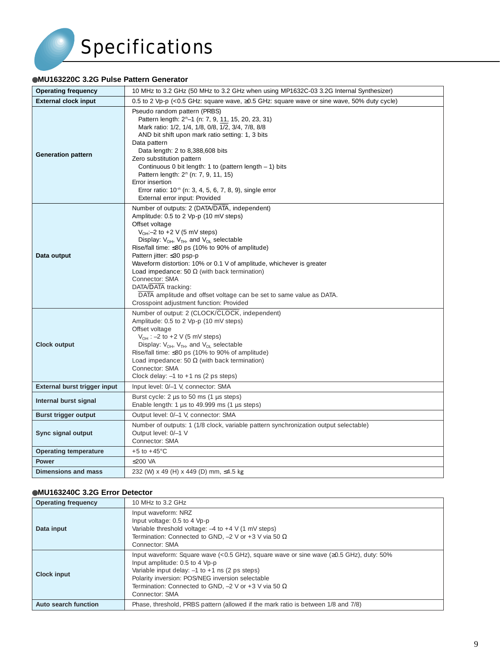# Specifications

# ●**MU163220C 3.2G Pulse Pattern Generator**

| <b>Operating frequency</b>          | 10 MHz to 3.2 GHz (50 MHz to 3.2 GHz when using MP1632C-03 3.2G Internal Synthesizer)                                                                                                                                                                                                                                                                                                                                                                                                                                                                                                |
|-------------------------------------|--------------------------------------------------------------------------------------------------------------------------------------------------------------------------------------------------------------------------------------------------------------------------------------------------------------------------------------------------------------------------------------------------------------------------------------------------------------------------------------------------------------------------------------------------------------------------------------|
| <b>External clock input</b>         | 0.5 to 2 Vp-p (<0.5 GHz: square wave, ≥0.5 GHz: square wave or sine wave, 50% duty cycle)                                                                                                                                                                                                                                                                                                                                                                                                                                                                                            |
| <b>Generation pattern</b>           | Pseudo random pattern (PRBS)<br>Pattern length: 2 <sup>n</sup> -1 (n: 7, 9, 11, 15, 20, 23, 31)<br>Mark ratio: 1/2, 1/4, 1/8, 0/8, 1/2, 3/4, 7/8, 8/8<br>AND bit shift upon mark ratio setting: 1, 3 bits<br>Data pattern<br>Data length: 2 to 8,388,608 bits<br>Zero substitution pattern<br>Continuous 0 bit length: 1 to (pattern length - 1) bits<br>Pattern length: 2 <sup>n</sup> (n: 7, 9, 11, 15)<br>Error insertion<br>Error ratio: 10 <sup>-n</sup> (n: 3, 4, 5, 6, 7, 8, 9), single error<br>External error input: Provided                                               |
| Data output                         | Number of outputs: 2 (DATA/DATA, independent)<br>Amplitude: 0.5 to 2 Vp-p (10 mV steps)<br>Offset voltage<br>$V_{OH}$ :-2 to +2 V (5 mV steps)<br>Display: $V_{OH}$ , $V_{TH}$ , and $V_{OL}$ selectable<br>Rise/fall time: ≤80 ps (10% to 90% of amplitude)<br>Pattern jitter: ≤30 psp-p<br>Waveform distortion: 10% or 0.1 V of amplitude, whichever is greater<br>Load impedance: 50 $\Omega$ (with back termination)<br>Connector: SMA<br>DATA/DATA tracking:<br>DATA amplitude and offset voltage can be set to same value as DATA.<br>Crosspoint adjustment function: Provided |
| <b>Clock output</b>                 | Number of output: 2 (CLOCK/CLOCK, independent)<br>Amplitude: 0.5 to 2 Vp-p (10 mV steps)<br>Offset voltage<br>$V_{OH}$ : -2 to +2 V (5 mV steps)<br>Display: $V_{OH}$ , $V_{TH}$ , and $V_{OL}$ selectable<br>Rise/fall time: ≤80 ps (10% to 90% of amplitude)<br>Load impedance: 50 $\Omega$ (with back termination)<br>Connector: SMA<br>Clock delay: $-1$ to $+1$ ns (2 ps steps)                                                                                                                                                                                                 |
| <b>External burst trigger input</b> | Input level: 0/-1 V, connector: SMA                                                                                                                                                                                                                                                                                                                                                                                                                                                                                                                                                  |
| Internal burst signal               | Burst cycle: 2 µs to 50 ms (1 µs steps)<br>Enable length: 1 $\mu s$ to 49.999 ms (1 $\mu s$ steps)                                                                                                                                                                                                                                                                                                                                                                                                                                                                                   |
| <b>Burst trigger output</b>         | Output level: 0/-1 V, connector: SMA                                                                                                                                                                                                                                                                                                                                                                                                                                                                                                                                                 |
| Sync signal output                  | Number of outputs: 1 (1/8 clock, variable pattern synchronization output selectable)<br>Output level: 0/-1 V<br>Connector: SMA                                                                                                                                                                                                                                                                                                                                                                                                                                                       |
| <b>Operating temperature</b>        | $+5$ to $+45^{\circ}$ C                                                                                                                                                                                                                                                                                                                                                                                                                                                                                                                                                              |
| <b>Power</b>                        | ≤200 VA                                                                                                                                                                                                                                                                                                                                                                                                                                                                                                                                                                              |
| <b>Dimensions and mass</b>          | 232 (W) x 49 (H) x 449 (D) mm, ≤4.5 kg                                                                                                                                                                                                                                                                                                                                                                                                                                                                                                                                               |

# ●**MU163240C 3.2G Error Detector**

| <b>Operating frequency</b> | 10 MHz to 3.2 GHz                                                                                                                                                                                                                                                                                                       |  |
|----------------------------|-------------------------------------------------------------------------------------------------------------------------------------------------------------------------------------------------------------------------------------------------------------------------------------------------------------------------|--|
| Data input                 | Input waveform: NRZ<br>Input voltage: 0.5 to 4 Vp-p<br>Variable threshold voltage: $-4$ to $+4$ V (1 mV steps)<br>Termination: Connected to GND, $-2$ V or $+3$ V via 50 $\Omega$<br>Connector: SMA                                                                                                                     |  |
| <b>Clock input</b>         | Input waveform: Square wave (<0.5 GHz), square wave or sine wave (≥0.5 GHz), duty: 50%<br>Input amplitude: 0.5 to 4 Vp-p<br>Variable input delay: $-1$ to $+1$ ns (2 ps steps)<br>Polarity inversion: POS/NEG inversion selectable<br>Termination: Connected to GND, $-2$ V or $+3$ V via 50 $\Omega$<br>Connector: SMA |  |
| Auto search function       | Phase, threshold, PRBS pattern (allowed if the mark ratio is between 1/8 and 7/8)                                                                                                                                                                                                                                       |  |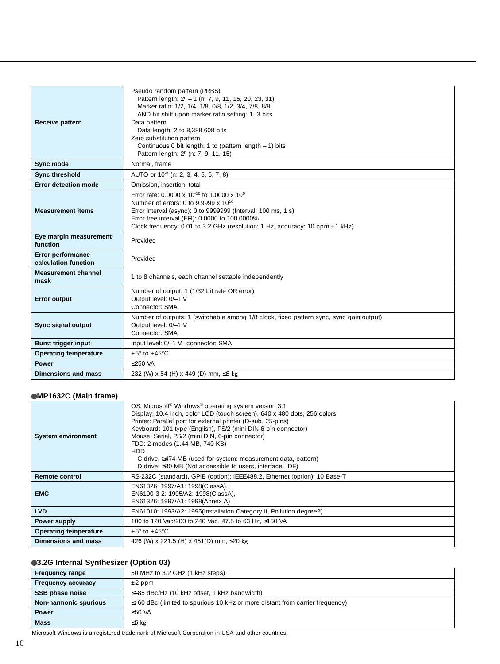| <b>Receive pattern</b>                    | Pseudo random pattern (PRBS)<br>Pattern length: 2 <sup>n</sup> - 1 (n: 7, 9, 11, 15, 20, 23, 31)<br>Marker ratio: 1/2, 1/4, 1/8, 0/8, 1/2, 3/4, 7/8, 8/8<br>AND bit shift upon marker ratio setting: 1, 3 bits<br>Data pattern<br>Data length: 2 to 8,388,608 bits<br>Zero substitution pattern<br>Continuous 0 bit length: 1 to (pattern length - 1) bits |
|-------------------------------------------|------------------------------------------------------------------------------------------------------------------------------------------------------------------------------------------------------------------------------------------------------------------------------------------------------------------------------------------------------------|
|                                           | Pattern length: 2 <sup>n</sup> (n: 7, 9, 11, 15)                                                                                                                                                                                                                                                                                                           |
| Sync mode                                 | Normal, frame                                                                                                                                                                                                                                                                                                                                              |
| <b>Sync threshold</b>                     | AUTO or 10 <sup>-n</sup> (n: 2, 3, 4, 5, 6, 7, 8)                                                                                                                                                                                                                                                                                                          |
| <b>Error detection mode</b>               | Omission, insertion, total                                                                                                                                                                                                                                                                                                                                 |
| <b>Measurement items</b>                  | Error rate: 0.0000 x 10 <sup>-16</sup> to 1.0000 x 10 <sup>0</sup><br>Number of errors: 0 to 9.9999 x 10 <sup>16</sup><br>Error interval (async): 0 to 9999999 (Interval: 100 ms, 1 s)<br>Error free interval (EFI): 0.0000 to 100.0000%<br>Clock frequency: 0.01 to 3.2 GHz (resolution: 1 Hz, accuracy: 10 ppm ±1 kHz)                                   |
| Eye margin measurement<br>function        | Provided                                                                                                                                                                                                                                                                                                                                                   |
| Error performance<br>calculation function | Provided                                                                                                                                                                                                                                                                                                                                                   |
| <b>Measurement channel</b><br>mask        | 1 to 8 channels, each channel settable independently                                                                                                                                                                                                                                                                                                       |
| <b>Error output</b>                       | Number of output: 1 (1/32 bit rate OR error)<br>Output level: 0/-1 V<br>Connector: SMA                                                                                                                                                                                                                                                                     |
| Sync signal output                        | Number of outputs: 1 (switchable among 1/8 clock, fixed pattern sync, sync gain output)<br>Output level: 0/-1 V<br>Connector: SMA                                                                                                                                                                                                                          |
| <b>Burst trigger input</b>                | Input level: 0/-1 V, connector: SMA                                                                                                                                                                                                                                                                                                                        |
| <b>Operating temperature</b>              | $+5^{\circ}$ to $+45^{\circ}$ C                                                                                                                                                                                                                                                                                                                            |
| <b>Power</b>                              | $<$ 250 VA                                                                                                                                                                                                                                                                                                                                                 |
| Dimensions and mass                       | 232 (W) x 54 (H) x 449 (D) mm, ≤5 kg                                                                                                                                                                                                                                                                                                                       |

# ●**MP1632C (Main frame)**

| <b>System environment</b>    | OS: Microsoft <sup>®</sup> Windows <sup>®</sup> operating system version 3.1<br>Display: 10.4 inch, color LCD (touch screen), 640 x 480 dots, 256 colors<br>Printer: Parallel port for external printer (D-sub, 25-pins)<br>Keyboard: 101 type (English), PS/2 (mini DIN 6-pin connector)<br>Mouse: Serial, PS/2 (mini DIN, 6-pin connector)<br>FDD: 2 modes (1.44 MB, 740 KB)<br><b>HDD</b><br>C drive: ≥474 MB (used for system: measurement data, pattern)<br>D drive: ≥30 MB (Not accessible to users, interface: IDE) |
|------------------------------|----------------------------------------------------------------------------------------------------------------------------------------------------------------------------------------------------------------------------------------------------------------------------------------------------------------------------------------------------------------------------------------------------------------------------------------------------------------------------------------------------------------------------|
| <b>Remote control</b>        | RS-232C (standard), GPIB (option): IEEE488.2, Ethernet (option): 10 Base-T                                                                                                                                                                                                                                                                                                                                                                                                                                                 |
| <b>EMC</b>                   | EN61326: 1997/A1: 1998(ClassA),<br>EN6100-3-2: 1995/A2: 1998(ClassA),<br>EN61326: 1997/A1: 1998(Annex A)                                                                                                                                                                                                                                                                                                                                                                                                                   |
| <b>LVD</b>                   | EN61010: 1993/A2: 1995(Installation Category II, Pollution degree2)                                                                                                                                                                                                                                                                                                                                                                                                                                                        |
| Power supply                 | 100 to 120 Vac/200 to 240 Vac, 47.5 to 63 Hz, ≤150 VA                                                                                                                                                                                                                                                                                                                                                                                                                                                                      |
| <b>Operating temperature</b> | $+5^{\circ}$ to $+45^{\circ}$ C                                                                                                                                                                                                                                                                                                                                                                                                                                                                                            |
| Dimensions and mass          | 426 (W) x 221.5 (H) x 451(D) mm, ≤20 kg                                                                                                                                                                                                                                                                                                                                                                                                                                                                                    |

#### ●**3.2G Internal Synthesizer (Option 03)**

| <b>Frequency range</b>    | 50 MHz to 3.2 GHz (1 kHz steps)                                                    |
|---------------------------|------------------------------------------------------------------------------------|
| <b>Frequency accuracy</b> | $\pm 2$ ppm                                                                        |
| SSB phase noise           | $\leq$ -85 dBc/Hz (10 kHz offset, 1 kHz bandwidth)                                 |
| Non-harmonic spurious     | $\leq$ -60 dBc (limited to spurious 10 kHz or more distant from carrier frequency) |
| <b>Power</b>              | ≤50 VA                                                                             |
| <b>Mass</b>               | $≤5$ kg                                                                            |

Microsoft Windows is a registered trademark of Microsoft Corporation in USA and other countries.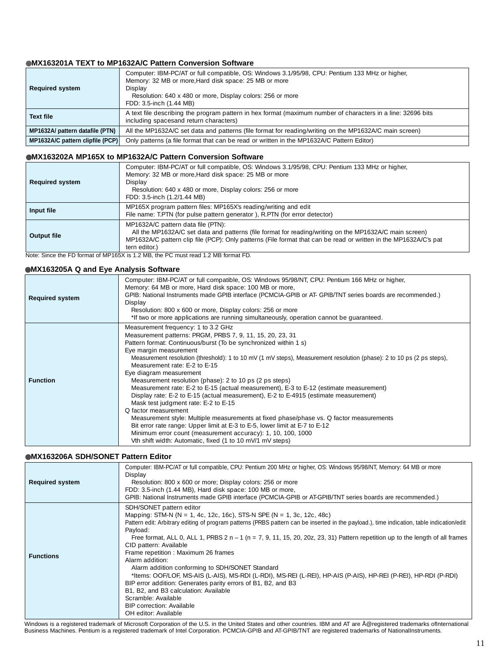#### ●**MX163201A TEXT to MP1632A/C Pattern Conversion Software**

| <b>Required system</b>           | Computer: IBM-PC/AT or full compatible, OS: Windows 3.1/95/98, CPU: Pentium 133 MHz or higher,<br>Memory: 32 MB or more, Hard disk space: 25 MB or more<br>Display<br>Resolution: 640 x 480 or more, Display colors: 256 or more<br>FDD: 3.5-inch (1.44 MB) |
|----------------------------------|-------------------------------------------------------------------------------------------------------------------------------------------------------------------------------------------------------------------------------------------------------------|
| <b>Text file</b>                 | A text file describing the program pattern in hex format (maximum number of characters in a line: 32696 bits<br>including spacesand return characters)                                                                                                      |
| MP1632A/ pattern datafile (PTN)  | All the MP1632A/C set data and patterns (file format for reading/writing on the MP1632A/C main screen)                                                                                                                                                      |
| MP1632A/C pattern clipfile (PCP) | Only patterns (a file format that can be read or written in the MP1632A/C Pattern Editor)                                                                                                                                                                   |

#### ●**MX163202A MP165X to MP1632A/C Pattern Conversion Software**

| <b>Required system</b> | Computer: IBM-PC/AT or full compatible, OS: Windows 3.1/95/98, CPU: Pentium 133 MHz or higher,<br>Memory: 32 MB or more, Hard disk space: 25 MB or more<br>Display<br>Resolution: 640 x 480 or more, Display colors: 256 or more<br>FDD: 3.5-inch (1.2/1.44 MB)                   |
|------------------------|-----------------------------------------------------------------------------------------------------------------------------------------------------------------------------------------------------------------------------------------------------------------------------------|
| Input file             | MP165X program pattern files: MP165X's reading/writing and edit<br>File name: T.PTN (for pulse pattern generator ), R.PTN (for error detector)                                                                                                                                    |
| <b>Output file</b>     | MP1632A/C pattern data file (PTN):<br>All the MP1632A/C set data and patterns (file format for reading/writing on the MP1632A/C main screen)<br>MP1632A/C pattern clip file (PCP): Only patterns (File format that can be read or written in the MP1632A/C's pat<br>tern editor.) |

Note: Since the FD format of MP165X is 1.2 MB, the PC must read 1.2 MB format FD.

#### ●**MX163205A Q and Eye Analysis Software**

| <b>Required system</b> | Computer: IBM-PC/AT or full compatible, OS: Windows 95/98/NT, CPU: Pentium 166 MHz or higher,<br>Memory: 64 MB or more, Hard disk space: 100 MB or more,<br>GPIB: National Instruments made GPIB interface (PCMCIA-GPIB or AT-GPIB/TNT series boards are recommended.)<br>Display<br>Resolution: 800 x 600 or more, Display colors: 256 or more<br>*If two or more applications are running simultaneously, operation cannot be quaranteed.                                                                                                                                                                                                                                                                                                                                                                                                                                                                                                                                                             |
|------------------------|---------------------------------------------------------------------------------------------------------------------------------------------------------------------------------------------------------------------------------------------------------------------------------------------------------------------------------------------------------------------------------------------------------------------------------------------------------------------------------------------------------------------------------------------------------------------------------------------------------------------------------------------------------------------------------------------------------------------------------------------------------------------------------------------------------------------------------------------------------------------------------------------------------------------------------------------------------------------------------------------------------|
| <b>Function</b>        | Measurement frequency: 1 to 3.2 GHz<br>Measurement patterns: PRGM, PRBS 7, 9, 11, 15, 20, 23, 31<br>Pattern format: Continuous/burst (To be synchronized within 1 s)<br>Eye margin measurement<br>Measurement resolution (threshold): 1 to 10 mV (1 mV steps), Measurement resolution (phase): 2 to 10 ps (2 ps steps),<br>Measurement rate: E-2 to E-15<br>Eye diagram measurement<br>Measurement resolution (phase): 2 to 10 ps (2 ps steps)<br>Measurement rate: E-2 to E-15 (actual measurement), E-3 to E-12 (estimate measurement)<br>Display rate: E-2 to E-15 (actual measurement), E-2 to E-4915 (estimate measurement)<br>Mask test judgment rate: E-2 to E-15<br>Q factor measurement<br>Measurement style: Multiple measurements at fixed phase/phase vs. Q factor measurements<br>Bit error rate range: Upper limit at E-3 to E-5, lower limit at E-7 to E-12<br>Minimum error count (measurement accuracy): 1, 10, 100, 1000<br>Vth shift width: Automatic, fixed (1 to 10 mV/1 mV steps) |

#### ●**MX163206A SDH/SONET Pattern Editor**

| <b>Required system</b> | Computer: IBM-PC/AT or full compatible, CPU: Pentium 200 MHz or higher, OS: Windows 95/98/NT, Memory: 64 MB or more<br>Display<br>Resolution: 800 x 600 or more; Display colors: 256 or more<br>FDD: 3.5-inch (1.44 MB), Hard disk space: 100 MB or more,<br>GPIB: National Instruments made GPIB interface (PCMCIA-GPIB or AT-GPIB/TNT series boards are recommended.)                                                                                                                                                                                                                                                                                                                                                                                                                                                                                    |
|------------------------|------------------------------------------------------------------------------------------------------------------------------------------------------------------------------------------------------------------------------------------------------------------------------------------------------------------------------------------------------------------------------------------------------------------------------------------------------------------------------------------------------------------------------------------------------------------------------------------------------------------------------------------------------------------------------------------------------------------------------------------------------------------------------------------------------------------------------------------------------------|
| <b>Functions</b>       | SDH/SONET pattern editor<br>Mapping: STM-N (N = 1, 4c, 12c, 16c), STS-N SPE (N = 1, 3c, 12c, 48c)<br>Pattern edit: Arbitrary editing of program patterns (PRBS pattern can be inserted in the payload.), time indication, table indication/edit<br>Payload:<br>Free format, ALL 0, ALL 1, PRBS $2 n - 1$ ( $n = 7, 9, 11, 15, 20, 20z, 23, 31$ ) Pattern repetition up to the length of all frames<br>CID pattern: Available<br>Frame repetition : Maximum 26 frames<br>Alarm addition:<br>Alarm addition conforming to SDH/SONET Standard<br>*Items: OOF/LOF, MS-AIS (L-AIS), MS-RDI (L-RDI), MS-REI (L-REI), HP-AIS (P-AIS), HP-REI (P-REI), HP-RDI (P-RDI)<br>BIP error addition: Generates parity errors of B1, B2, and B3<br>B1, B2, and B3 calculation: Available<br>Scramble: Available<br><b>BIP</b> correction: Available<br>OH editor: Available |

Windows is a registered trademark of Microsoft Corporation of the U.S. in the United States and other countries. IBM and AT are Å@registered trademarks of International Business Machines. Pentium is a registered trademark of Intel Corporation. PCMCIA-GPIB and AT-GPIB/TNT are registered trademarks of NationalInstruments.